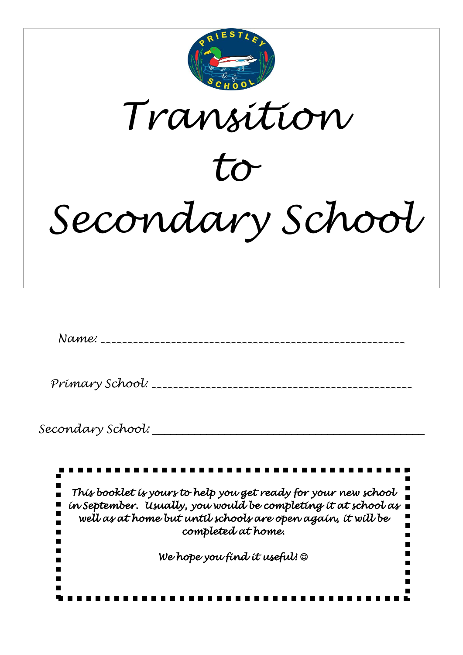

*We hope you find it useful!* ☺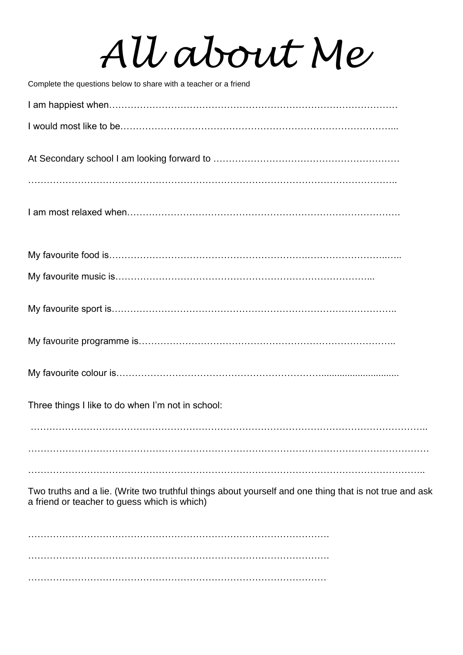# *All about Me*

| Complete the questions below to share with a teacher or a friend                                                                                       |
|--------------------------------------------------------------------------------------------------------------------------------------------------------|
|                                                                                                                                                        |
|                                                                                                                                                        |
|                                                                                                                                                        |
|                                                                                                                                                        |
|                                                                                                                                                        |
|                                                                                                                                                        |
|                                                                                                                                                        |
|                                                                                                                                                        |
|                                                                                                                                                        |
|                                                                                                                                                        |
| Three things I like to do when I'm not in school:                                                                                                      |
|                                                                                                                                                        |
|                                                                                                                                                        |
| Two truths and a lie. (Write two truthful things about yourself and one thing that is not true and ask<br>a friend or teacher to guess which is which) |
|                                                                                                                                                        |

……………………………………………………………………………………

…………………………………………………………………………………….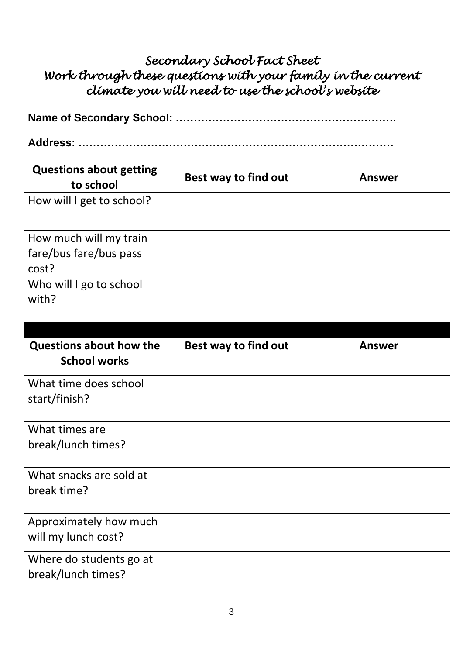# *Secondary School Fact Sheet Work through these questions with your family in the current climate you will need to use the school's website*

**Address: ……………………………………………………………………………**

| <b>Questions about getting</b><br>to school               | Best way to find out | Answer        |
|-----------------------------------------------------------|----------------------|---------------|
| How will I get to school?                                 |                      |               |
| How much will my train<br>fare/bus fare/bus pass<br>cost? |                      |               |
| Who will I go to school<br>with?                          |                      |               |
| <b>Questions about how the</b><br><b>School works</b>     | Best way to find out | <b>Answer</b> |
| What time does school<br>start/finish?                    |                      |               |
| What times are<br>break/lunch times?                      |                      |               |
| What snacks are sold at<br>break time?                    |                      |               |
| Approximately how much<br>will my lunch cost?             |                      |               |
| Where do students go at<br>break/lunch times?             |                      |               |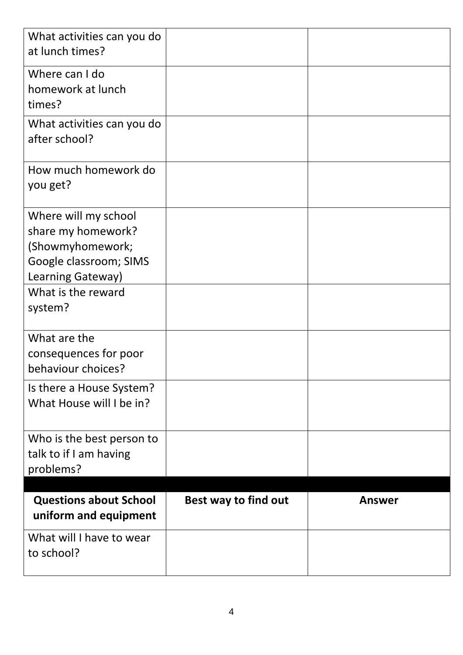| What activities can you do<br>at lunch times?                                                                 |                      |               |
|---------------------------------------------------------------------------------------------------------------|----------------------|---------------|
| Where can I do<br>homework at lunch<br>times?                                                                 |                      |               |
| What activities can you do<br>after school?                                                                   |                      |               |
| How much homework do<br>you get?                                                                              |                      |               |
| Where will my school<br>share my homework?<br>(Showmyhomework;<br>Google classroom; SIMS<br>Learning Gateway) |                      |               |
| What is the reward<br>system?                                                                                 |                      |               |
| What are the<br>consequences for poor<br>behaviour choices?                                                   |                      |               |
| Is there a House System?<br>What House will I be in?                                                          |                      |               |
| Who is the best person to<br>talk to if I am having<br>problems?                                              |                      |               |
| <b>Questions about School</b>                                                                                 |                      |               |
| uniform and equipment                                                                                         | Best way to find out | <b>Answer</b> |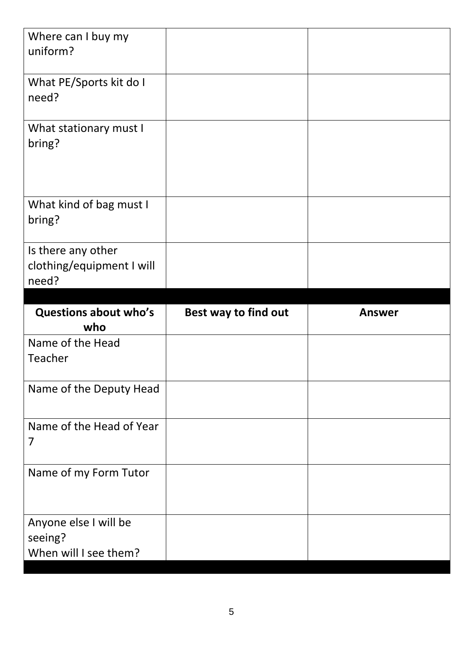| Where can I buy my<br>uniform?                           |                      |               |
|----------------------------------------------------------|----------------------|---------------|
| What PE/Sports kit do I<br>need?                         |                      |               |
| What stationary must I<br>bring?                         |                      |               |
| What kind of bag must I<br>bring?                        |                      |               |
| Is there any other<br>clothing/equipment I will<br>need? |                      |               |
|                                                          |                      |               |
| <b>Questions about who's</b>                             | Best way to find out | <b>Answer</b> |
| who                                                      |                      |               |
| Name of the Head<br>Teacher                              |                      |               |
| Name of the Deputy Head                                  |                      |               |
| Name of the Head of Year<br>$\overline{7}$               |                      |               |
| Name of my Form Tutor                                    |                      |               |
| Anyone else I will be<br>seeing?                         |                      |               |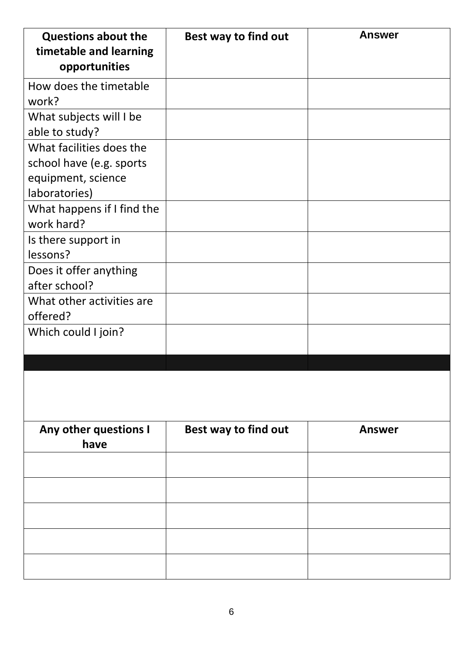| <b>Questions about the</b><br>timetable and learning<br>opportunities                       | Best way to find out | <b>Answer</b> |
|---------------------------------------------------------------------------------------------|----------------------|---------------|
| How does the timetable<br>work?                                                             |                      |               |
| What subjects will I be<br>able to study?                                                   |                      |               |
| What facilities does the<br>school have (e.g. sports<br>equipment, science<br>laboratories) |                      |               |
| What happens if I find the<br>work hard?                                                    |                      |               |
| Is there support in<br>lessons?                                                             |                      |               |
| Does it offer anything<br>after school?                                                     |                      |               |
| What other activities are<br>offered?                                                       |                      |               |
| Which could I join?                                                                         |                      |               |
|                                                                                             |                      |               |
| Any other questions I<br>have                                                               | Best way to find out | <b>Answer</b> |
|                                                                                             |                      |               |
|                                                                                             |                      |               |
|                                                                                             |                      |               |
|                                                                                             |                      |               |
|                                                                                             |                      |               |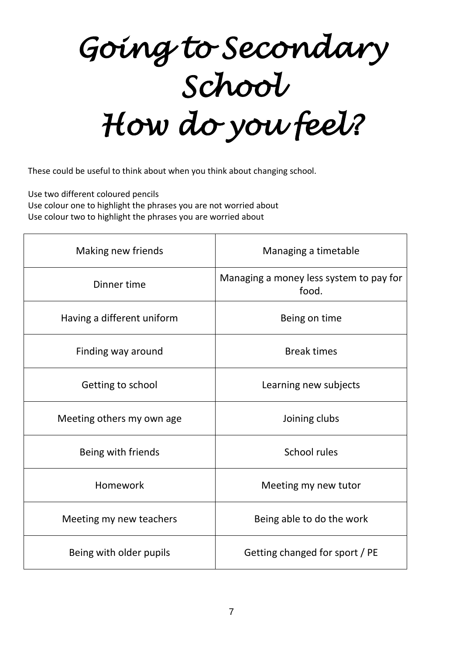*Going to Secondary School How do you feel?* 

These could be useful to think about when you think about changing school.

Use two different coloured pencils Use colour one to highlight the phrases you are not worried about

Use colour two to highlight the phrases you are worried about

| Making new friends         | Managing a timetable                             |
|----------------------------|--------------------------------------------------|
| Dinner time                | Managing a money less system to pay for<br>food. |
| Having a different uniform | Being on time                                    |
| Finding way around         | <b>Break times</b>                               |
| Getting to school          | Learning new subjects                            |
| Meeting others my own age  | Joining clubs                                    |
| Being with friends         | School rules                                     |
| Homework                   | Meeting my new tutor                             |
| Meeting my new teachers    | Being able to do the work                        |
| Being with older pupils    | Getting changed for sport / PE                   |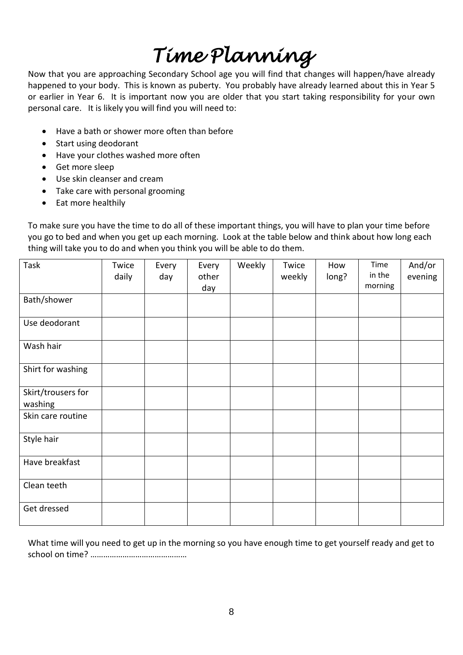# *Time Planning*

Now that you are approaching Secondary School age you will find that changes will happen/have already happened to your body. This is known as puberty. You probably have already learned about this in Year 5 or earlier in Year 6. It is important now you are older that you start taking responsibility for your own personal care. It is likely you will find you will need to:

- Have a bath or shower more often than before
- Start using deodorant
- Have your clothes washed more often
- Get more sleep
- Use skin cleanser and cream
- Take care with personal grooming
- Eat more healthily

To make sure you have the time to do all of these important things, you will have to plan your time before you go to bed and when you get up each morning. Look at the table below and think about how long each thing will take you to do and when you think you will be able to do them.

| Task                          | Twice<br>daily | Every<br>day | Every<br>other<br>day | Weekly | Twice<br>weekly | How<br>long? | Time<br>in the<br>morning | And/or<br>evening |
|-------------------------------|----------------|--------------|-----------------------|--------|-----------------|--------------|---------------------------|-------------------|
| Bath/shower                   |                |              |                       |        |                 |              |                           |                   |
| Use deodorant                 |                |              |                       |        |                 |              |                           |                   |
| Wash hair                     |                |              |                       |        |                 |              |                           |                   |
| Shirt for washing             |                |              |                       |        |                 |              |                           |                   |
| Skirt/trousers for<br>washing |                |              |                       |        |                 |              |                           |                   |
| Skin care routine             |                |              |                       |        |                 |              |                           |                   |
| Style hair                    |                |              |                       |        |                 |              |                           |                   |
| Have breakfast                |                |              |                       |        |                 |              |                           |                   |
| Clean teeth                   |                |              |                       |        |                 |              |                           |                   |
| Get dressed                   |                |              |                       |        |                 |              |                           |                   |

What time will you need to get up in the morning so you have enough time to get yourself ready and get to school on time? ………………………………………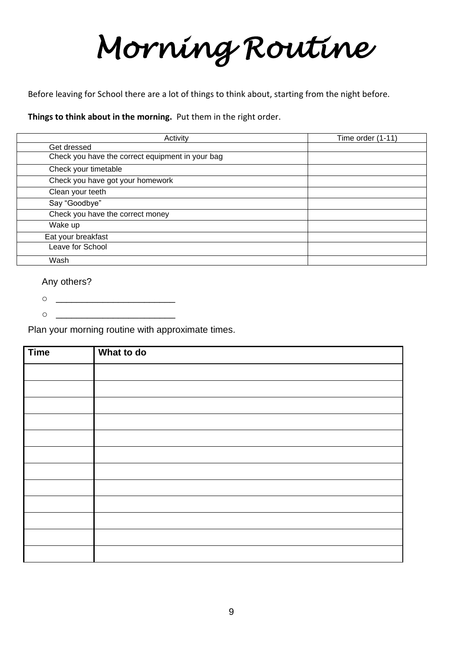# *Morning Routine*

Before leaving for School there are a lot of things to think about, starting from the night before.

**Things to think about in the morning.** Put them in the right order.

| Activity                                         | Time order (1-11) |
|--------------------------------------------------|-------------------|
| Get dressed                                      |                   |
| Check you have the correct equipment in your bag |                   |
| Check your timetable                             |                   |
| Check you have got your homework                 |                   |
| Clean your teeth                                 |                   |
| Say "Goodbye"                                    |                   |
| Check you have the correct money                 |                   |
| Wake up                                          |                   |
| Eat your breakfast                               |                   |
| Leave for School                                 |                   |
| Wash                                             |                   |

#### Any others?

- o \_\_\_\_\_\_\_\_\_\_\_\_\_\_\_\_\_\_\_\_\_\_\_
- $\circ$   $\qquad$

Plan your morning routine with approximate times.

| <b>Time</b> | What to do |
|-------------|------------|
|             |            |
|             |            |
|             |            |
|             |            |
|             |            |
|             |            |
|             |            |
|             |            |
|             |            |
|             |            |
|             |            |
|             |            |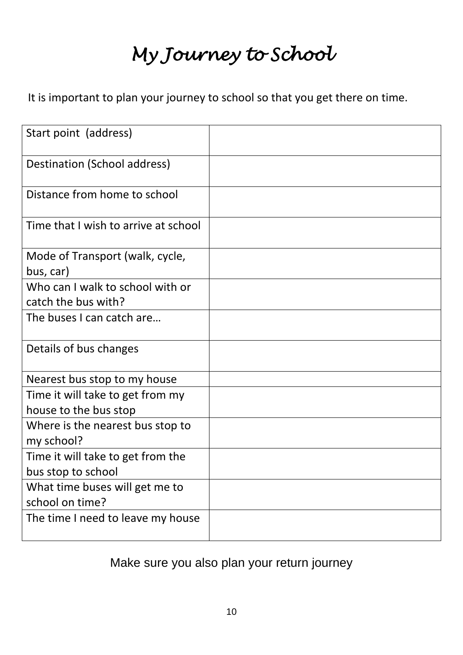# *My Journey to School*

It is important to plan your journey to school so that you get there on time.

| Start point (address)                                     |  |
|-----------------------------------------------------------|--|
| Destination (School address)                              |  |
| Distance from home to school                              |  |
| Time that I wish to arrive at school                      |  |
| Mode of Transport (walk, cycle,<br>bus, car)              |  |
| Who can I walk to school with or<br>catch the bus with?   |  |
| The buses I can catch are                                 |  |
| Details of bus changes                                    |  |
| Nearest bus stop to my house                              |  |
| Time it will take to get from my<br>house to the bus stop |  |
| Where is the nearest bus stop to<br>my school?            |  |
| Time it will take to get from the<br>bus stop to school   |  |
| What time buses will get me to<br>school on time?         |  |
| The time I need to leave my house                         |  |

Make sure you also plan your return journey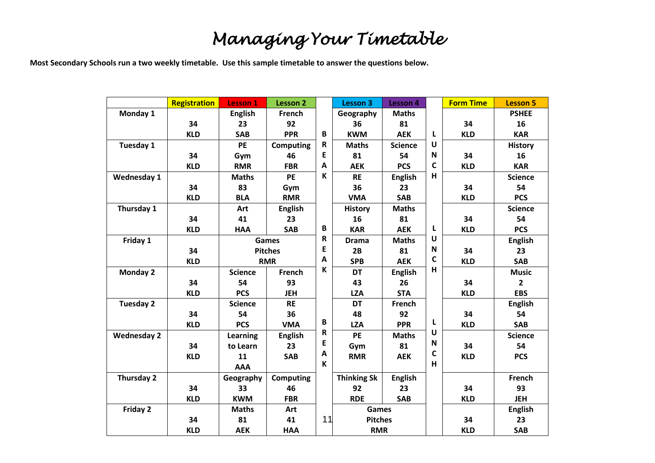# *Managing Your Timetable*

**Most Secondary Schools run a two weekly timetable. Use this sample timetable to answer the questions below.**

|                    | <b>Registration</b> | <b>Lesson 1</b> | <b>Lesson 2</b>  |    | <b>Lesson 3</b>    | <b>Lesson 4</b> |   | <b>Form Time</b> | <b>Lesson 5</b> |
|--------------------|---------------------|-----------------|------------------|----|--------------------|-----------------|---|------------------|-----------------|
| Monday 1           |                     | <b>English</b>  | French           |    | Geography          | <b>Maths</b>    |   |                  | <b>PSHEE</b>    |
|                    | 34                  | 23              | 92               |    | 36                 | 81              |   | 34               | 16              |
|                    | <b>KLD</b>          | <b>SAB</b>      | <b>PPR</b>       | B  | <b>KWM</b>         | <b>AEK</b>      | L | <b>KLD</b>       | <b>KAR</b>      |
| Tuesday 1          |                     | PE              | <b>Computing</b> | R  | <b>Maths</b>       | <b>Science</b>  | U |                  | <b>History</b>  |
|                    | 34                  | Gym             | 46               | E  | 81                 | 54              | N | 34               | 16              |
|                    | <b>KLD</b>          | <b>RMR</b>      | <b>FBR</b>       | A  | <b>AEK</b>         | <b>PCS</b>      | C | <b>KLD</b>       | <b>KAR</b>      |
| <b>Wednesday 1</b> |                     | <b>Maths</b>    | PE               | К  | <b>RE</b>          | <b>English</b>  | н |                  | <b>Science</b>  |
|                    | 34                  | 83              | Gym              |    | 36                 | 23              |   | 34               | 54              |
|                    | <b>KLD</b>          | <b>BLA</b>      | <b>RMR</b>       |    | <b>VMA</b>         | <b>SAB</b>      |   | <b>KLD</b>       | <b>PCS</b>      |
| Thursday 1         |                     | Art             | <b>English</b>   |    | <b>History</b>     | <b>Maths</b>    |   |                  | <b>Science</b>  |
|                    | 34                  | 41              | 23               |    | 16                 | 81              |   | 34               | 54              |
|                    | <b>KLD</b>          | <b>HAA</b>      | <b>SAB</b>       | В  | <b>KAR</b>         | <b>AEK</b>      | L | <b>KLD</b>       | <b>PCS</b>      |
| Friday 1           |                     |                 | Games            | R  | <b>Drama</b>       | <b>Maths</b>    | U |                  | <b>English</b>  |
|                    | 34                  |                 | <b>Pitches</b>   | E  | 2B                 | 81              | N | 34               | 23              |
|                    | <b>KLD</b>          |                 | <b>RMR</b>       | A  | <b>SPB</b>         | <b>AEK</b>      | C | <b>KLD</b>       | <b>SAB</b>      |
| <b>Monday 2</b>    |                     | <b>Science</b>  | French           | К  | <b>DT</b>          | <b>English</b>  | н |                  | <b>Music</b>    |
|                    | 34                  | 54              | 93               |    | 43                 | 26              |   | 34               | $\overline{2}$  |
|                    | <b>KLD</b>          | <b>PCS</b>      | <b>JEH</b>       |    | <b>LZA</b>         | <b>STA</b>      |   | <b>KLD</b>       | <b>EBS</b>      |
| Tuesday 2          |                     | <b>Science</b>  | <b>RE</b>        |    | <b>DT</b>          | French          |   |                  | <b>English</b>  |
|                    | 34                  | 54              | 36               |    | 48                 | 92              |   | 34               | 54              |
|                    | <b>KLD</b>          | <b>PCS</b>      | <b>VMA</b>       | B  | <b>LZA</b>         | <b>PPR</b>      | L | <b>KLD</b>       | <b>SAB</b>      |
| <b>Wednesday 2</b> |                     | Learning        | <b>English</b>   | R  | PE                 | <b>Maths</b>    | U |                  | <b>Science</b>  |
|                    | 34                  | to Learn        | 23               | E  | Gym                | 81              | N | 34               | 54              |
|                    | <b>KLD</b>          | 11              | <b>SAB</b>       | A  | <b>RMR</b>         | <b>AEK</b>      | С | <b>KLD</b>       | <b>PCS</b>      |
|                    |                     | <b>AAA</b>      |                  | K  |                    |                 | H |                  |                 |
| Thursday 2         |                     | Geography       | <b>Computing</b> |    | <b>Thinking Sk</b> | <b>English</b>  |   |                  | French          |
|                    | 34                  | 33              | 46               |    | 92                 | 23              |   | 34               | 93              |
|                    | <b>KLD</b>          | <b>KWM</b>      | <b>FBR</b>       |    | <b>RDE</b>         | <b>SAB</b>      |   | <b>KLD</b>       | <b>JEH</b>      |
| Friday 2           |                     | <b>Maths</b>    | Art              |    | Games              |                 |   |                  | <b>English</b>  |
|                    | 34                  | 81              | 41               | 11 | <b>Pitches</b>     |                 |   | 34               | 23              |
|                    | <b>KLD</b>          | <b>AEK</b>      | <b>HAA</b>       |    | <b>RMR</b>         |                 |   | <b>KLD</b>       | <b>SAB</b>      |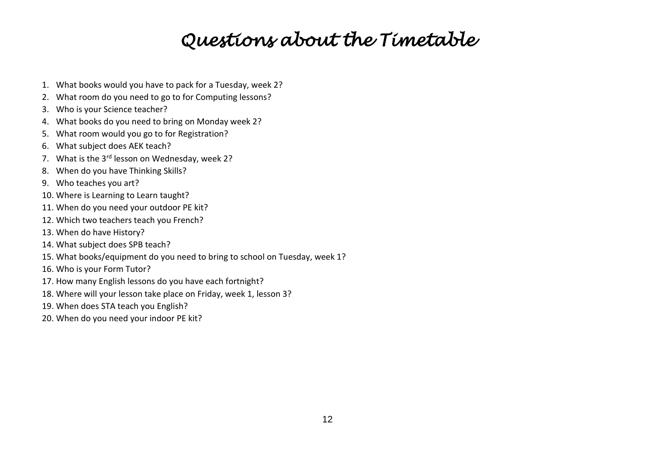# *Questions about the Timetable*

- 1. What books would you have to pack for a Tuesday, week 2?
- 2. What room do you need to go to for Computing lessons?
- 3. Who is your Science teacher?
- 4. What books do you need to bring on Monday week 2?
- 5. What room would you go to for Registration?
- 6. What subject does AEK teach?
- 7. What is the 3<sup>rd</sup> lesson on Wednesday, week 2?
- 8. When do you have Thinking Skills?
- 9. Who teaches you art?
- 10. Where is Learning to Learn taught?
- 11. When do you need your outdoor PE kit?
- 12. Which two teachers teach you French?
- 13. When do have History?
- 14. What subject does SPB teach?
- 15. What books/equipment do you need to bring to school on Tuesday, week 1?
- 16. Who is your Form Tutor?
- 17. How many English lessons do you have each fortnight?
- 18. Where will your lesson take place on Friday, week 1, lesson 3?
- 19. When does STA teach you English?
- 20. When do you need your indoor PE kit?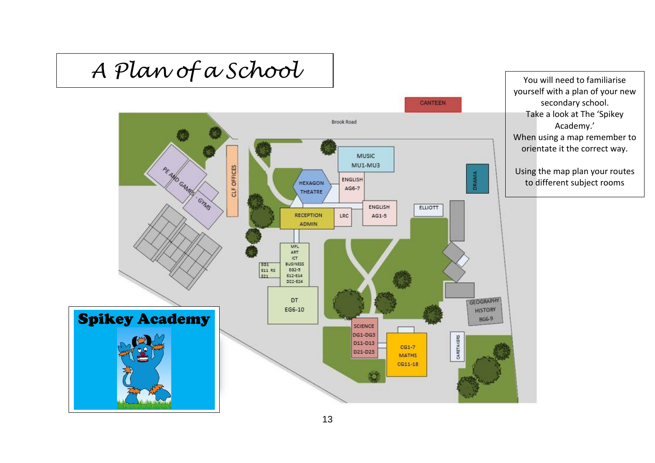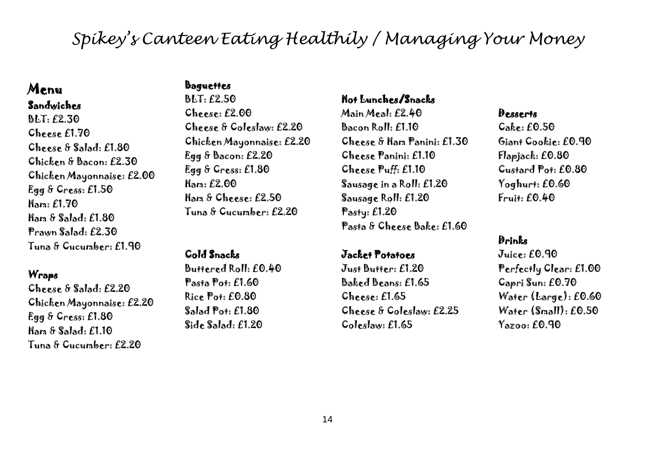# *Spikey's Canteen Eating Healthily / Managing Your Money*

### Menu Sandwiches

## BLT: £2.30 Cheese £1.70 Cheese & Salad: £1.80 Chicken & Bacon: £2.30 Chicken Mayonnaise: £2.00 Egg & Cress: £1.50 Ham: £1.70 Ham & Salad: £1.80 Prawn Salad: £2.30 Tuna & Cucumber: £1.90

#### **Wraps**

Cheese & Salad: £2.20 Chicken Mayonnaise: £2.20 Egg & Cress: £1.80 Ham & Salad: £1.10 Tuna & Cucumber: £2.20

### **Baguettes**

BLT: £2.50  $Ch^{pe}$ :  $f2.00$ Cheese & Coleslaw: £2.20 Chicken Mayonnaise: £2.20 Egg & Bacon: £2.20 Egg & Cress: £1.80 Ham: £2.00 Ham & Cheese: £2.50 Tuna & Cucumber: £2.20

### Cold Snacks

Buttered Roll: £0.40 Pasta Pot: £1.60 Rice Pot: £0.80 Salad Pot: £1.80 Side Salad: £1.20

#### Hot Lunches/Snacks

Main Meal: £2.40  $B<sub>2</sub>$ con Roll:  $f110$ Cheese & Ham Panini: £1.30 Cheese Panini: £1.10 Cheese Puff: £1.10 Sausage in a Roll: £1.20 Sausage Roll: £1.20 Pasty: £1.20 Pasta & Cheese Bake: £1.60

#### Jacket Potatoes

Just Butter: £1.20 Baked Beans: £1.65 Cheese: £1.65 Cheese & Coleslaw: £2.25 Coleslaw: £1.65

#### Desserts

Cake: £0.50 Giant Cookie: £0.90 Flapjack: £0.80 Custard Pot: £0.80 Yoghurt: £0.60 Fruit: £0.40

## Drinks

Juice: £0.90 Perfectly Clear: £1.00 Capri Sun: £0.70 Water (Large): £0.60 Water (Small): £0.50 Yazoo: £0.90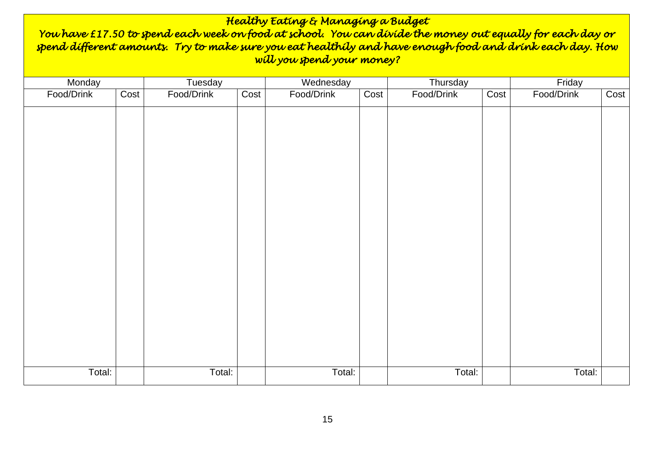| Healthy Eating & Managing a Budget<br>You have £17.50 to spend each week on food at school. You can divide the money out equally for each day or<br>spend different amounts. Try to make sure you eat healthily and have enough food and drink each day. How<br>will you spend your money? |      |            |      |            |      |            |      |            |      |
|--------------------------------------------------------------------------------------------------------------------------------------------------------------------------------------------------------------------------------------------------------------------------------------------|------|------------|------|------------|------|------------|------|------------|------|
| Monday                                                                                                                                                                                                                                                                                     |      | Tuesday    |      | Wednesday  |      | Thursday   |      | Friday     |      |
| Food/Drink                                                                                                                                                                                                                                                                                 | Cost | Food/Drink | Cost | Food/Drink | Cost | Food/Drink | Cost | Food/Drink | Cost |
|                                                                                                                                                                                                                                                                                            |      |            |      |            |      |            |      |            |      |
| Total:                                                                                                                                                                                                                                                                                     |      | Total:     |      | Total:     |      | Total:     |      | Total:     |      |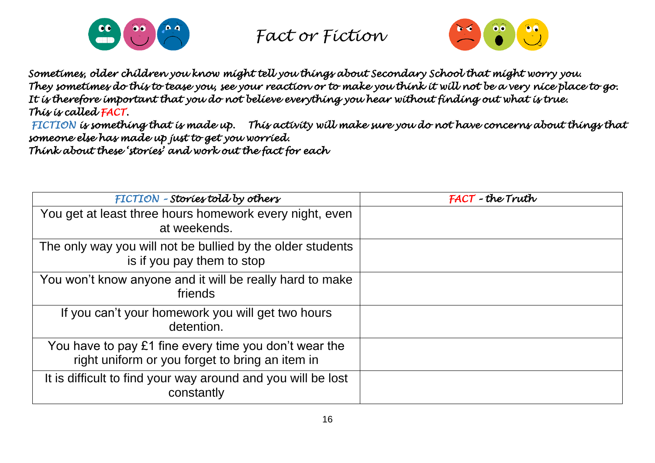



*Sometimes, older children you know might tell you things about Secondary School that might worry you. They sometimes do this to tease you, see your reaction or to make you think it will not be a very nice place to go. It is therefore important that you do not believe everything you hear without finding out what is true. This is called FACT.* 

 *FICTION is something that is made up. This activity will make sure you do not have concerns about things that someone else has made up just to get you worried. Think about these 'stories' and work out the fact for each* 

| FICTION - Stories told by others                                                                         | FACT-the Truth |
|----------------------------------------------------------------------------------------------------------|----------------|
| You get at least three hours homework every night, even<br>at weekends.                                  |                |
| The only way you will not be bullied by the older students<br>is if you pay them to stop                 |                |
| You won't know anyone and it will be really hard to make<br>friends                                      |                |
| If you can't your homework you will get two hours<br>detention.                                          |                |
| You have to pay £1 fine every time you don't wear the<br>right uniform or you forget to bring an item in |                |
| It is difficult to find your way around and you will be lost<br>constantly                               |                |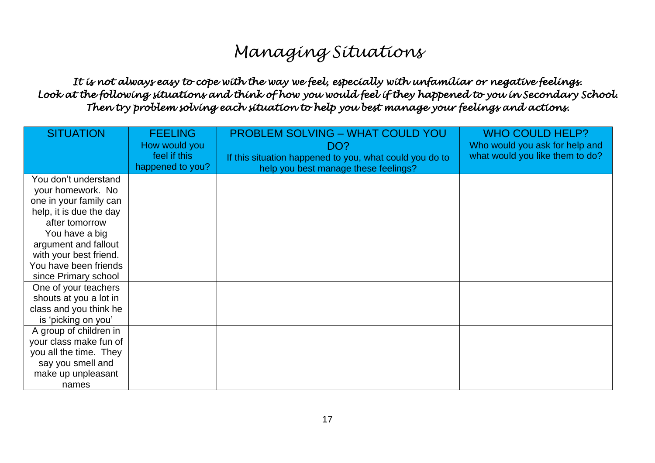# *Managing Situations*

### *It is not always easy to cope with the way we feel, especially with unfamiliar or negative feelings. Look at the following situations and think of how you would feel if they happened to you in Secondary School. Then try problem solving each situation to help you best manage your feelings and actions.*

| <b>SITUATION</b>        | <b>FEELING</b><br>How would you<br>feel if this<br>happened to you? | <b>PROBLEM SOLVING - WHAT COULD YOU</b><br>DO?<br>If this situation happened to you, what could you do to | <b>WHO COULD HELP?</b><br>Who would you ask for help and<br>what would you like them to do? |
|-------------------------|---------------------------------------------------------------------|-----------------------------------------------------------------------------------------------------------|---------------------------------------------------------------------------------------------|
| You don't understand    |                                                                     | help you best manage these feelings?                                                                      |                                                                                             |
| your homework. No       |                                                                     |                                                                                                           |                                                                                             |
| one in your family can  |                                                                     |                                                                                                           |                                                                                             |
| help, it is due the day |                                                                     |                                                                                                           |                                                                                             |
| after tomorrow          |                                                                     |                                                                                                           |                                                                                             |
| You have a big          |                                                                     |                                                                                                           |                                                                                             |
| argument and fallout    |                                                                     |                                                                                                           |                                                                                             |
| with your best friend.  |                                                                     |                                                                                                           |                                                                                             |
| You have been friends   |                                                                     |                                                                                                           |                                                                                             |
| since Primary school    |                                                                     |                                                                                                           |                                                                                             |
| One of your teachers    |                                                                     |                                                                                                           |                                                                                             |
| shouts at you a lot in  |                                                                     |                                                                                                           |                                                                                             |
| class and you think he  |                                                                     |                                                                                                           |                                                                                             |
| is 'picking on you'     |                                                                     |                                                                                                           |                                                                                             |
| A group of children in  |                                                                     |                                                                                                           |                                                                                             |
| your class make fun of  |                                                                     |                                                                                                           |                                                                                             |
| you all the time. They  |                                                                     |                                                                                                           |                                                                                             |
| say you smell and       |                                                                     |                                                                                                           |                                                                                             |
| make up unpleasant      |                                                                     |                                                                                                           |                                                                                             |
| names                   |                                                                     |                                                                                                           |                                                                                             |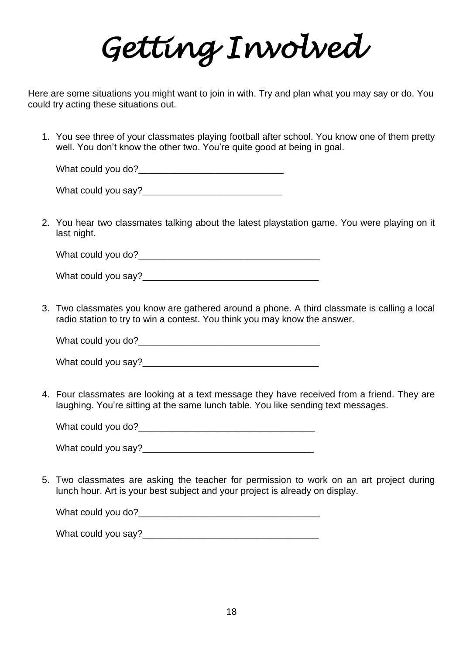*Getting Involved* 

Here are some situations you might want to join in with. Try and plan what you may say or do. You could try acting these situations out.

1. You see three of your classmates playing football after school. You know one of them pretty well. You don't know the other two. You're quite good at being in goal.

What could you do?\_\_\_\_\_\_\_\_\_\_\_\_\_\_\_\_\_\_\_\_\_\_\_\_\_\_\_\_

What could you say?\_\_\_\_\_\_\_\_\_\_\_\_\_\_\_\_\_\_\_\_\_\_\_\_\_\_\_

2. You hear two classmates talking about the latest playstation game. You were playing on it last night.

What could you do?

What could you say?

3. Two classmates you know are gathered around a phone. A third classmate is calling a local radio station to try to win a contest. You think you may know the answer.

What could you do?\_\_\_\_\_\_\_\_\_\_\_\_\_\_\_\_\_\_\_\_\_\_\_\_\_\_\_\_\_\_\_\_\_\_\_

What could you say?

4. Four classmates are looking at a text message they have received from a friend. They are laughing. You're sitting at the same lunch table. You like sending text messages.

What could you do?\_\_\_\_\_\_\_\_\_\_\_\_\_\_\_\_\_\_\_\_\_\_\_\_\_\_\_\_\_\_\_\_\_\_

What could you say?

5. Two classmates are asking the teacher for permission to work on an art project during lunch hour. Art is your best subject and your project is already on display.

What could you do?

What could you say?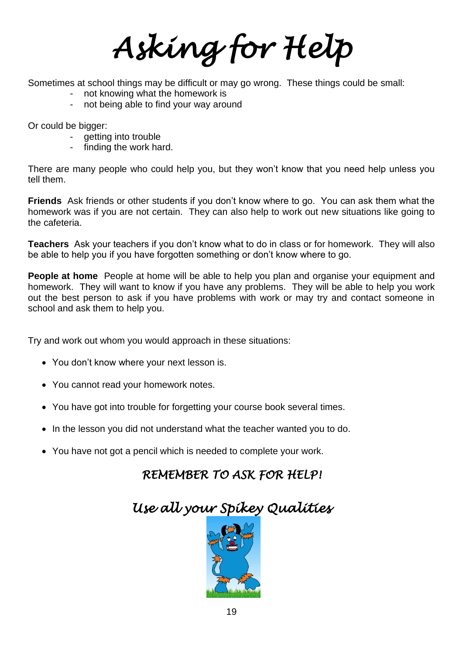*Asking for Help*

Sometimes at school things may be difficult or may go wrong. These things could be small:

- not knowing what the homework is
- not being able to find your way around

Or could be bigger:

- getting into trouble
- finding the work hard.

There are many people who could help you, but they won't know that you need help unless you tell them.

**Friends** Ask friends or other students if you don't know where to go. You can ask them what the homework was if you are not certain. They can also help to work out new situations like going to the cafeteria.

**Teachers** Ask your teachers if you don't know what to do in class or for homework. They will also be able to help you if you have forgotten something or don't know where to go.

**People at home** People at home will be able to help you plan and organise your equipment and homework. They will want to know if you have any problems. They will be able to help you work out the best person to ask if you have problems with work or may try and contact someone in school and ask them to help you.

Try and work out whom you would approach in these situations:

- You don't know where your next lesson is.
- You cannot read your homework notes.
- You have got into trouble for forgetting your course book several times.
- In the lesson you did not understand what the teacher wanted you to do.
- You have not got a pencil which is needed to complete your work.

## *REMEMBER TO ASK FOR HELP!*

# *Use all your Spikey Qualities*

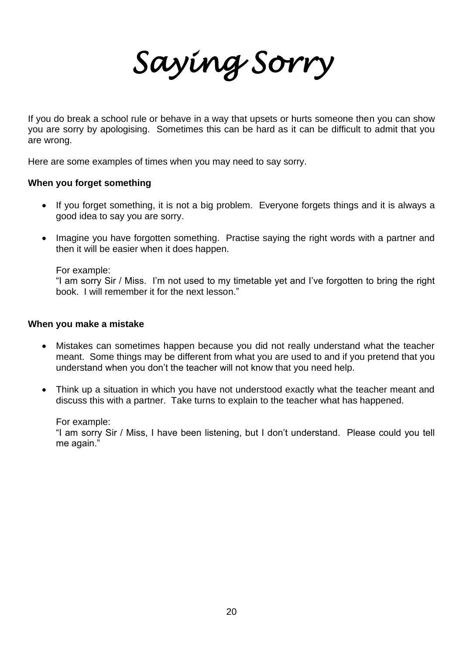*Saying Sorry* 

If you do break a school rule or behave in a way that upsets or hurts someone then you can show you are sorry by apologising. Sometimes this can be hard as it can be difficult to admit that you are wrong.

Here are some examples of times when you may need to say sorry.

#### **When you forget something**

- If you forget something, it is not a big problem. Everyone forgets things and it is always a good idea to say you are sorry.
- Imagine you have forgotten something. Practise saying the right words with a partner and then it will be easier when it does happen.

For example:

"I am sorry Sir / Miss. I'm not used to my timetable yet and I've forgotten to bring the right book. I will remember it for the next lesson."

#### **When you make a mistake**

- Mistakes can sometimes happen because you did not really understand what the teacher meant. Some things may be different from what you are used to and if you pretend that you understand when you don't the teacher will not know that you need help.
- Think up a situation in which you have not understood exactly what the teacher meant and discuss this with a partner. Take turns to explain to the teacher what has happened.

For example:

"I am sorry Sir / Miss, I have been listening, but I don't understand. Please could you tell me again."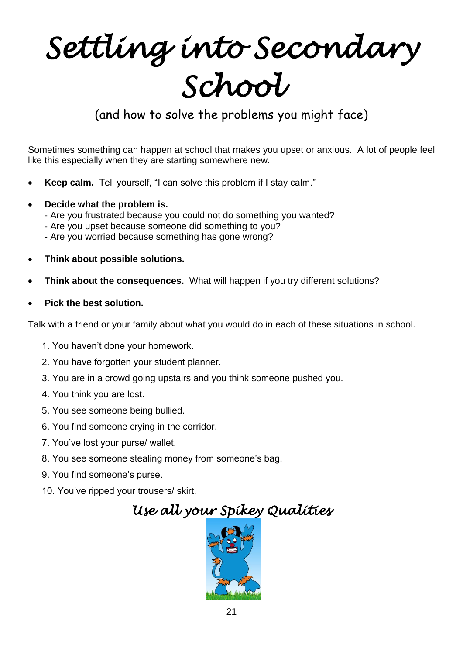# *Settling into Secondary School*

# (and how to solve the problems you might face)

Sometimes something can happen at school that makes you upset or anxious. A lot of people feel like this especially when they are starting somewhere new.

- **Keep calm.** Tell yourself, "I can solve this problem if I stay calm."
- **Decide what the problem is.**
	- Are you frustrated because you could not do something you wanted?
	- Are you upset because someone did something to you?
	- Are you worried because something has gone wrong?
- **Think about possible solutions.**
- **Think about the consequences.** What will happen if you try different solutions?
- **Pick the best solution.**

Talk with a friend or your family about what you would do in each of these situations in school.

- 1. You haven't done your homework.
- 2. You have forgotten your student planner.
- 3. You are in a crowd going upstairs and you think someone pushed you.
- 4. You think you are lost.
- 5. You see someone being bullied.
- 6. You find someone crying in the corridor.
- 7. You've lost your purse/ wallet.
- 8. You see someone stealing money from someone's bag.
- 9. You find someone's purse.
- 10. You've ripped your trousers/ skirt.



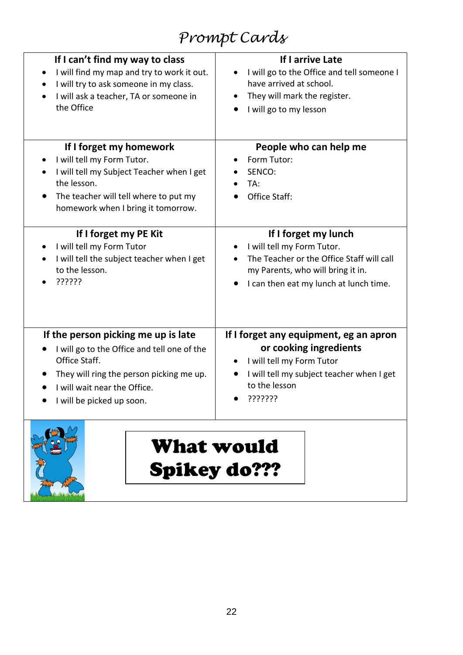# *Prompt Cards*

| If I can't find my way to class                                                                                                                                                                  | If I arrive Late                                                        |
|--------------------------------------------------------------------------------------------------------------------------------------------------------------------------------------------------|-------------------------------------------------------------------------|
| I will find my map and try to work it out.                                                                                                                                                       | I will go to the Office and tell someone I                              |
| I will try to ask someone in my class.                                                                                                                                                           | have arrived at school.                                                 |
| I will ask a teacher, TA or someone in                                                                                                                                                           | They will mark the register.                                            |
| the Office                                                                                                                                                                                       | I will go to my lesson                                                  |
| If I forget my homework<br>I will tell my Form Tutor.<br>I will tell my Subject Teacher when I get<br>the lesson.<br>The teacher will tell where to put my<br>homework when I bring it tomorrow. | People who can help me<br>Form Tutor:<br>SENCO:<br>TA:<br>Office Staff: |
| If I forget my PE Kit                                                                                                                                                                            | If I forget my lunch                                                    |
| I will tell my Form Tutor                                                                                                                                                                        | I will tell my Form Tutor.                                              |
| I will tell the subject teacher when I get                                                                                                                                                       | The Teacher or the Office Staff will call                               |
| to the lesson.                                                                                                                                                                                   | my Parents, who will bring it in.                                       |
| ??????                                                                                                                                                                                           | I can then eat my lunch at lunch time.                                  |
| If the person picking me up is late                                                                                                                                                              | If I forget any equipment, eg an apron                                  |
| I will go to the Office and tell one of the                                                                                                                                                      | or cooking ingredients                                                  |
| Office Staff.                                                                                                                                                                                    | I will tell my Form Tutor                                               |
| They will ring the person picking me up.                                                                                                                                                         | I will tell my subject teacher when I get                               |
| I will wait near the Office.                                                                                                                                                                     | to the lesson                                                           |
| I will be picked up soon.                                                                                                                                                                        | ???????                                                                 |



What would Spikey do???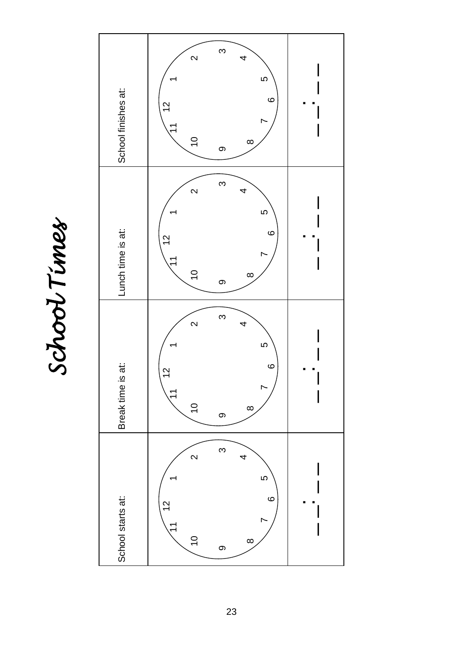School Times *School Times* 

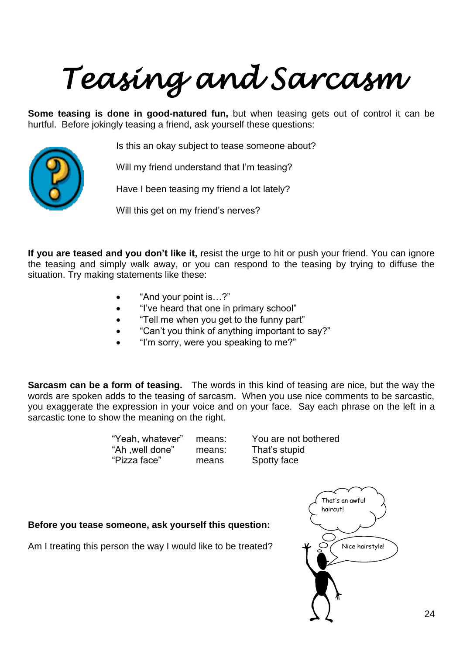# *Teasing and Sarcasm*

**Some teasing is done in good-natured fun,** but when teasing gets out of control it can be hurtful. Before jokingly teasing a friend, ask yourself these questions:



Is this an okay subject to tease someone about?

Will my friend understand that I'm teasing?

Have I been teasing my friend a lot lately?

Will this get on my friend's nerves?

**If you are teased and you don't like it,** resist the urge to hit or push your friend. You can ignore the teasing and simply walk away, or you can respond to the teasing by trying to diffuse the situation. Try making statements like these:

- "And your point is…?"
- "I've heard that one in primary school"
- "Tell me when you get to the funny part"
- "Can't you think of anything important to say?"
- "I'm sorry, were you speaking to me?"

**Sarcasm can be a form of teasing.** The words in this kind of teasing are nice, but the way the words are spoken adds to the teasing of sarcasm. When you use nice comments to be sarcastic, you exaggerate the expression in your voice and on your face. Say each phrase on the left in a sarcastic tone to show the meaning on the right.

| "Yeah, whatever" | means: | You are not  |
|------------------|--------|--------------|
| "Ah , well done" | means: | That's stupi |
| "Pizza face"     | means  | Spotty face  |

means: You are not bothered means: That's stupid

**Before you tease someone, ask yourself this question:**

Am I treating this person the way I would like to be treated?

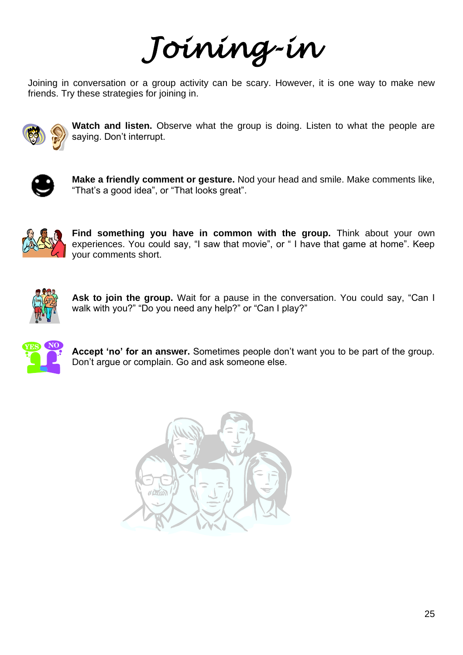*Joining-in* 

Joining in conversation or a group activity can be scary. However, it is one way to make new friends. Try these strategies for joining in.



**Watch and listen.** Observe what the group is doing. Listen to what the people are saying. Don't interrupt.



**Make a friendly comment or gesture.** Nod your head and smile. Make comments like, "That's a good idea", or "That looks great".



Find something you have in common with the group. Think about your own experiences. You could say, "I saw that movie", or " I have that game at home". Keep your comments short.



**Ask to join the group.** Wait for a pause in the conversation. You could say, "Can I walk with you?" "Do you need any help?" or "Can I play?"



**Accept 'no' for an answer.** Sometimes people don't want you to be part of the group. Don't argue or complain. Go and ask someone else.

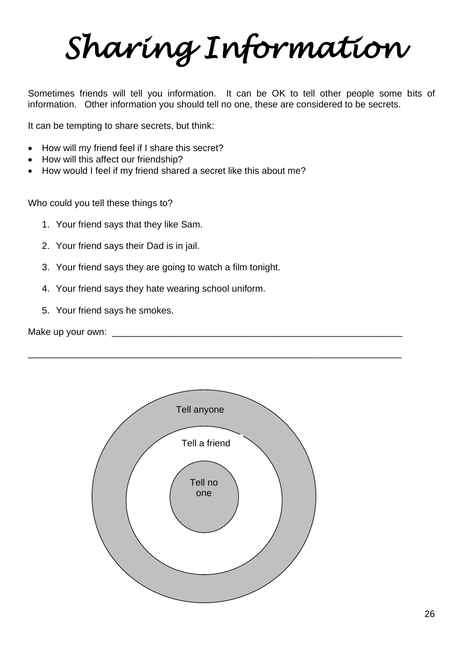*Sharing Information*

Sometimes friends will tell you information. It can be OK to tell other people some bits of information. Other information you should tell no one, these are considered to be secrets.

It can be tempting to share secrets, but think:

- How will my friend feel if I share this secret?
- How will this affect our friendship?
- How would I feel if my friend shared a secret like this about me?

Who could you tell these things to?

- 1. Your friend says that they like Sam.
- 2. Your friend says their Dad is in jail.
- 3. Your friend says they are going to watch a film tonight.
- 4. Your friend says they hate wearing school uniform.
- 5. Your friend says he smokes.

Make up your own: \_\_\_\_\_\_\_\_\_\_\_\_\_\_\_\_\_\_\_\_\_\_\_\_\_\_\_\_\_\_\_\_\_\_\_\_\_\_\_\_\_\_\_\_\_\_\_\_\_\_\_\_\_\_\_\_



\_\_\_\_\_\_\_\_\_\_\_\_\_\_\_\_\_\_\_\_\_\_\_\_\_\_\_\_\_\_\_\_\_\_\_\_\_\_\_\_\_\_\_\_\_\_\_\_\_\_\_\_\_\_\_\_\_\_\_\_\_\_\_\_\_\_\_\_\_\_\_\_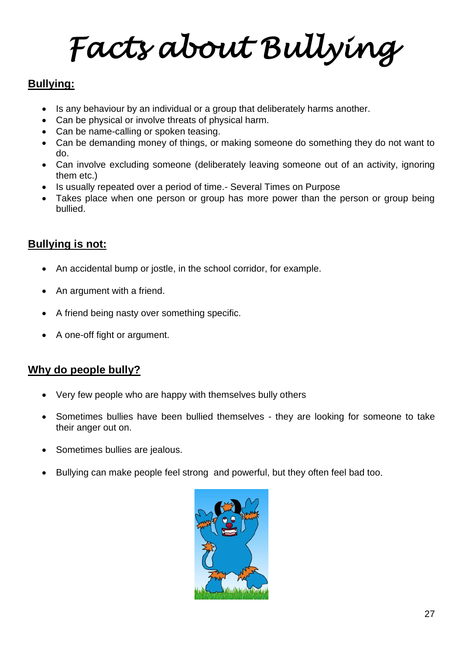*Facts about Bullying* 

## **Bullying:**

- Is any behaviour by an individual or a group that deliberately harms another.
- Can be physical or involve threats of physical harm.
- Can be name-calling or spoken teasing.
- Can be demanding money of things, or making someone do something they do not want to do.
- Can involve excluding someone (deliberately leaving someone out of an activity, ignoring them etc.)
- Is usually repeated over a period of time.- Several Times on Purpose
- Takes place when one person or group has more power than the person or group being bullied.

## **Bullying is not:**

- An accidental bump or jostle, in the school corridor, for example.
- An argument with a friend.
- A friend being nasty over something specific.
- A one-off fight or argument.

## **Why do people bully?**

- Very few people who are happy with themselves bully others
- Sometimes bullies have been bullied themselves they are looking for someone to take their anger out on.
- Sometimes bullies are jealous.
- Bullying can make people feel strong and powerful, but they often feel bad too.